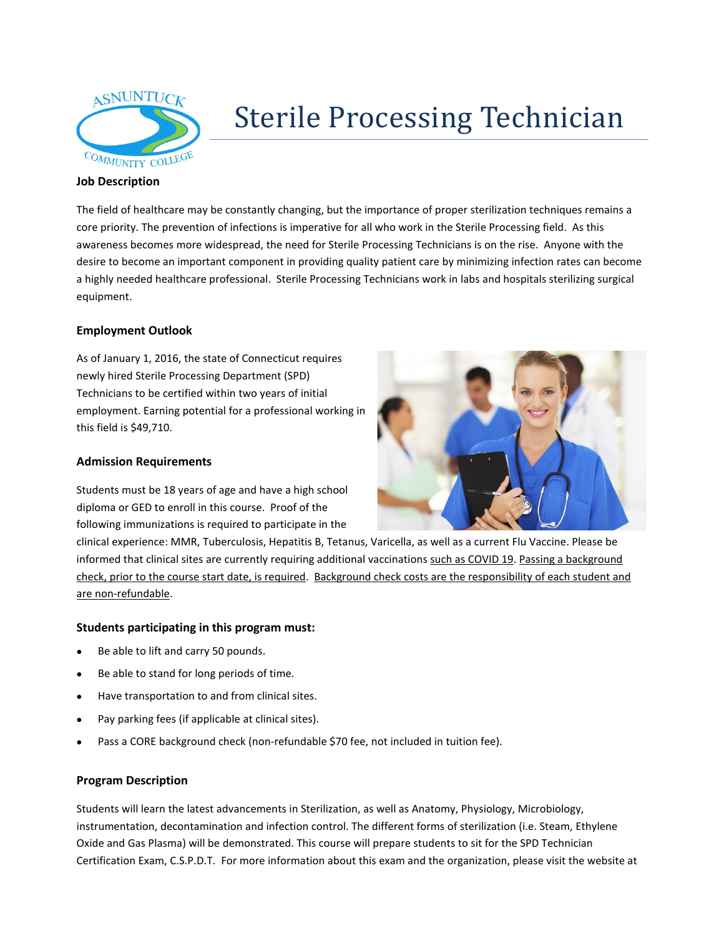

# Sterile Processing Technician

#### **Job Description**

The field of healthcare may be constantly changing, but the importance of proper sterilization techniques remains a core priority. The prevention of infections is imperative for all who work in the Sterile Processing field. As this awareness becomes more widespread, the need for Sterile Processing Technicians is on the rise. Anyone with the desire to become an important component in providing quality patient care by minimizing infection rates can become a highly needed healthcare professional. Sterile Processing Technicians work in labs and hospitals sterilizing surgical equipment.

## **Employment Outlook**

As of January 1, 2016, the state of Connecticut requires newly hired Sterile Processing Department (SPD) Technicians to be certified within two years of initial employment. Earning potential for a professional working in this field is \$49,710.

### **Admission Requirements**

Students must be 18 years of age and have a high school diploma or GED to enroll in this course. Proof of the following immunizations is required to participate in the



clinical experience: MMR, Tuberculosis, Hepatitis B, Tetanus, Varicella, as well as a current Flu Vaccine. Please be informed that clinical sites are currently requiring additional vaccinations such as COVID 19. Passing a background check, prior to the course start date, is required. Background check costs are the responsibility of each student and are non-refundable.

#### **Students participating in this program must:**

- Be able to lift and carry 50 pounds.
- Be able to stand for long periods of time.
- Have transportation to and from clinical sites.
- Pay parking fees (if applicable at clinical sites).
- Pass a CORE background check (non-refundable \$70 fee, not included in tuition fee).

#### **Program Description**

Students will learn the latest advancements in Sterilization, as well as Anatomy, Physiology, Microbiology, instrumentation, decontamination and infection control. The different forms of sterilization (i.e. Steam, Ethylene Oxide and Gas Plasma) will be demonstrated. This course will prepare students to sit for the SPD Technician Certification Exam, C.S.P.D.T. For more information about this exam and the organization, please visit the website at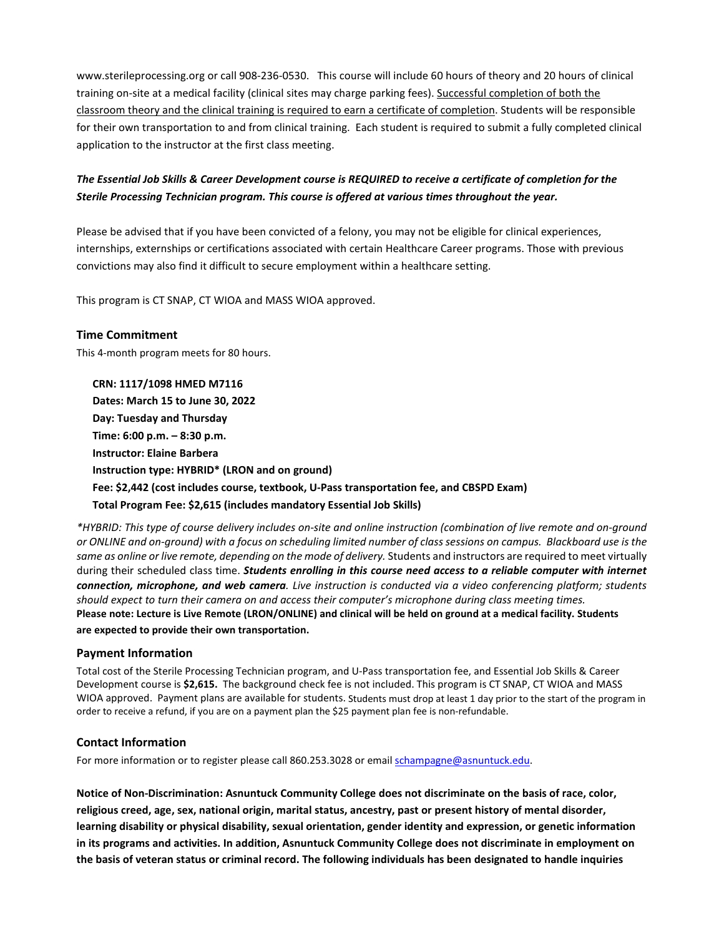www.sterileprocessing.org or call 908-236-0530. This course will include 60 hours of theory and 20 hours of clinical training on-site at a medical facility (clinical sites may charge parking fees). Successful completion of both the classroom theory and the clinical training is required to earn a certificate of completion. Students will be responsible for their own transportation to and from clinical training. Each student is required to submit a fully completed clinical application to the instructor at the first class meeting.

# *The Essential Job Skills & Career Development course is REQUIRED to receive a certificate of completion for the Sterile Processing Technician program. This course is offered at various times throughout the year.*

Please be advised that if you have been convicted of a felony, you may not be eligible for clinical experiences, internships, externships or certifications associated with certain Healthcare Career programs. Those with previous convictions may also find it difficult to secure employment within a healthcare setting.

This program is CT SNAP, CT WIOA and MASS WIOA approved.

This 4-month program meets for 80 hours. **CRN: 1117/1098 HMED M7116 Dates: March 15 to June 30, 2022 Day: Tuesday and Thursday Time: 6:00 p.m. – 8:30 p.m. Instructor: Elaine Barbera Instruction type: HYBRID\* (LRON and on ground) Fee: \$2,442 (cost includes course, textbook, U-Pass transportation fee, and CBSPD Exam) Total Program Fee: \$2,615 (includes mandatory Essential Job Skills)**

*\*HYBRID: This type of course delivery includes on-site and online instruction (combination of live remote and on-ground or ONLINE and on-ground) with a focus on scheduling limited number of class sessions on campus. Blackboard use is the same as online or live remote, depending on the mode of delivery.* Students and instructors are required to meet virtually during their scheduled class time. *Students enrolling in this course need access to a reliable computer with internet connection, microphone, and web camera. Live instruction is conducted via a video conferencing platform; students should expect to turn their camera on and access their computer's microphone during class meeting times.* **Please note: Lecture is Live Remote (LRON/ONLINE) and clinical will be held on ground at a medical facility. Students are expected to provide their own transportation.**

#### **Payment Information**

**Time Commitment**

Total cost of the Sterile Processing Technician program, and U-Pass transportation fee, and Essential Job Skills & Career Development course is **\$2,615.** The background check fee is not included. This program is CT SNAP, CT WIOA and MASS WIOA approved. Payment plans are available for students. Students must drop at least 1 day prior to the start of the program in order to receive a refund, if you are on a payment plan the \$25 payment plan fee is non-refundable.

#### **Contact Information**

For more information or to register please call 860.253.3028 or email [schampagne@asnuntuck.edu.](mailto:schampagne@asnuntuck.edu)

**Notice of Non-Discrimination: Asnuntuck Community College does not discriminate on the basis of race, color, religious creed, age, sex, national origin, marital status, ancestry, past or present history of mental disorder, learning disability or physical disability, sexual orientation, gender identity and expression, or genetic information in its programs and activities. In addition, Asnuntuck Community College does not discriminate in employment on the basis of veteran status or criminal record. The following individuals has been designated to handle inquiries**